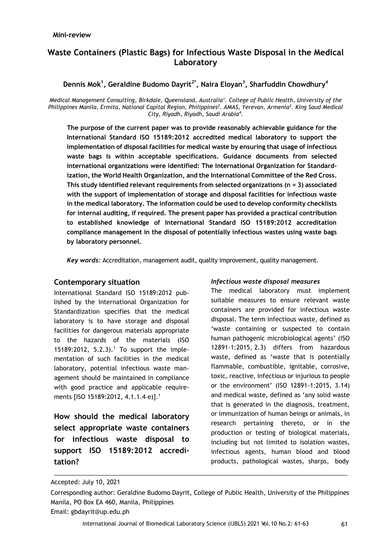# **Waste Containers (Plastic Bags) for Infectious Waste Disposal in the Medical Laboratory**

**Dennis Mok<sup>1</sup> , Geraldine Budomo Dayrit2\* , Naira Eloyan<sup>3</sup> , Sharfuddin Chowdhury<sup>4</sup>**

*Medical Management Consulting, Birkdale, Queensland, Australia<sup>1</sup> . College of Public Health, University of the Philippines Manila, Ermita, National Capital Region, Philippines<sup>2</sup> . AMAS, Yerevan, Armenia<sup>3</sup> . King Saud Medical City, Riyadh, Riyadh, Saudi Arabia<sup>4</sup> .*

**The purpose of the current paper was to provide reasonably achievable guidance for the International Standard ISO 15189:2012 accredited medical laboratory to support the implementation of disposal facilities for medical waste by ensuring that usage of infectious waste bags is within acceptable specifications. Guidance documents from selected international organizations were identified: The International Organization for Standardization, the World Health Organization, and the International Committee of the Red Cross. This study identified relevant requirements from selected organizations (n = 3) associated with the support of implementation of storage and disposal facilities for infectious waste in the medical laboratory. The information could be used to develop conformity checklists for internal auditing, if required. The present paper has provided a practical contribution to established knowledge of International Standard ISO 15189:2012 accreditation compliance management in the disposal of potentially infectious wastes using waste bags by laboratory personnel.**

*Key words:* Accreditation, management audit, quality improvement, quality management.

## **Contemporary situation**

International Standard ISO 15189:2012 published by the International Organization for Standardization specifies that the medical laboratory is to have storage and disposal facilities for dangerous materials appropriate to the hazards of the materials (ISO 15189:2012, 5.2.3).<sup>1</sup> To support the implementation of such facilities in the medical laboratory, potential infectious waste management should be maintained in compliance with good practice and applicable requirements [ISO 15189:2012, 4.1.1.4 e)].<sup>1</sup>

**How should the medical laboratory select appropriate waste containers for infectious waste disposal to support ISO 15189:2012 accreditation?**

#### *Infectious waste disposal measures*

The medical laboratory must implement suitable measures to ensure relevant waste containers are provided for infectious waste disposal. The term infectious waste, defined as 'waste containing or suspected to contain human pathogenic microbiological agents' (ISO 12891-1:2015, 2.3) differs from hazardous waste, defined as 'waste that is potentially flammable, combustible, ignitable, corrosive, toxic, reactive, infectious or injurious to people or the environment' (ISO 12891-1:2015, 3.14) and medical waste, defined as 'any solid waste that is generated in the diagnosis, treatment, or immunization of human beings or animals, in research pertaining thereto, or in the production or testing of biological materials, including but not limited to isolation wastes, infectious agents, human blood and blood products, pathological wastes, sharps, body

\_\_\_\_\_\_\_\_\_\_\_\_\_\_\_\_\_\_\_\_\_\_\_\_\_\_\_\_\_\_\_\_\_\_\_\_\_\_\_\_\_\_\_\_\_\_\_\_\_\_\_\_\_\_\_\_\_\_\_\_\_\_\_\_\_\_\_\_\_\_\_\_\_\_\_\_\_\_\_\_\_\_\_\_\_\_

Accepted: July 10, 2021

Corresponding author: Geraldine Budomo Dayrit, College of Public Health, University of the Philippines Manila, PO Box EA 460, Manila, Philippines Email: gbdayrit@up.edu.ph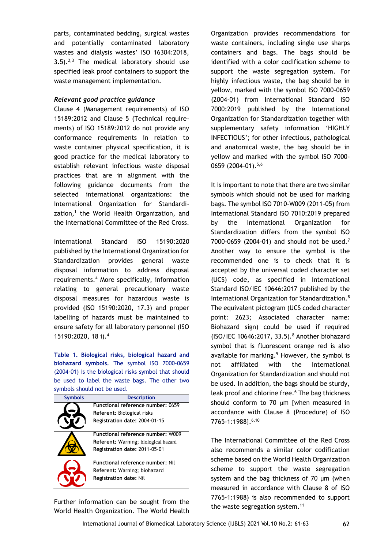parts, contaminated bedding, surgical wastes and potentially contaminated laboratory wastes and dialysis wastes' ISO 16304:2018,  $3.5$ ).<sup>2,3</sup> The medical laboratory should use specified leak proof containers to support the waste management implementation.

## *Relevant good practice guidance*

Clause 4 (Management requirements) of ISO 15189:2012 and Clause 5 (Technical requirements) of ISO 15189:2012 do not provide any conformance requirements in relation to waste container physical specification, it is good practice for the medical laboratory to establish relevant infectious waste disposal practices that are in alignment with the following guidance documents from the selected international organizations: the International Organization for Standardization,<sup>1</sup> the World Health Organization, and the International Committee of the Red Cross.

International Standard ISO 15190:2020 published by the International Organization for Standardization provides general waste disposal information to address disposal requirements.<sup>4</sup> More specifically, information relating to general precautionary waste disposal measures for hazardous waste is provided (ISO 15190:2020, 17.3) and proper labelling of hazards must be maintained to ensure safety for all laboratory personnel (ISO 15190:2020, 18 i).<sup>4</sup>

**Table 1. Biological risks, biological hazard and biohazard symbols.** The symbol ISO 7000-0659 (2004-01) is the biological risks symbol that should be used to label the waste bags. The other two symbols should not be used.



Further information can be sought from the World Health Organization. The World Health Organization provides recommendations for waste containers, including single use sharps containers and bags. The bags should be identified with a color codification scheme to support the waste segregation system. For highly infectious waste, the bag should be in yellow, marked with the symbol ISO 7000-0659 (2004-01) from International Standard ISO 7000:2019 published by the International Organization for Standardization together with supplementary safety information 'HIGHLY INFECTIOUS'; for other infectious, pathological and anatomical waste, the bag should be in yellow and marked with the symbol ISO 7000- 0659 (2004-01).5,6

It is important to note that there are two similar symbols which should not be used for marking bags. The symbol ISO 7010-W009 (2011-05) from International Standard ISO 7010:2019 prepared by the International Organization for Standardization differs from the symbol ISO 7000-0659 (2004-01) and should not be used.<sup>7</sup> Another way to ensure the symbol is the recommended one is to check that it is accepted by the universal coded character set (UCS) code, as specified in International Standard ISO/IEC 10646:2017 published by the International Organization for Standardization.<sup>8</sup> The equivalent pictogram (UCS coded character point: 2623; Associated character name: Biohazard sign) could be used if required (ISO/IEC 10646:2017, 33.5).<sup>8</sup> Another biohazard symbol that is fluorescent orange red is also available for marking. $9$  However, the symbol is not affiliated with the International Organization for Standardization and should not be used. In addition, the bags should be sturdy, leak proof and chlorine free.<sup>6</sup> The bag thickness should conform to 70 µm [when measured in accordance with Clause 8 (Procedure) of ISO 7765-1:1988].6,10

The International Committee of the Red Cross also recommends a similar color codification scheme based on the World Health Organization scheme to support the waste segregation system and the bag thickness of 70 µm (when measured in accordance with Clause 8 of ISO 7765-1:1988) is also recommended to support the waste segregation system.<sup>11</sup>